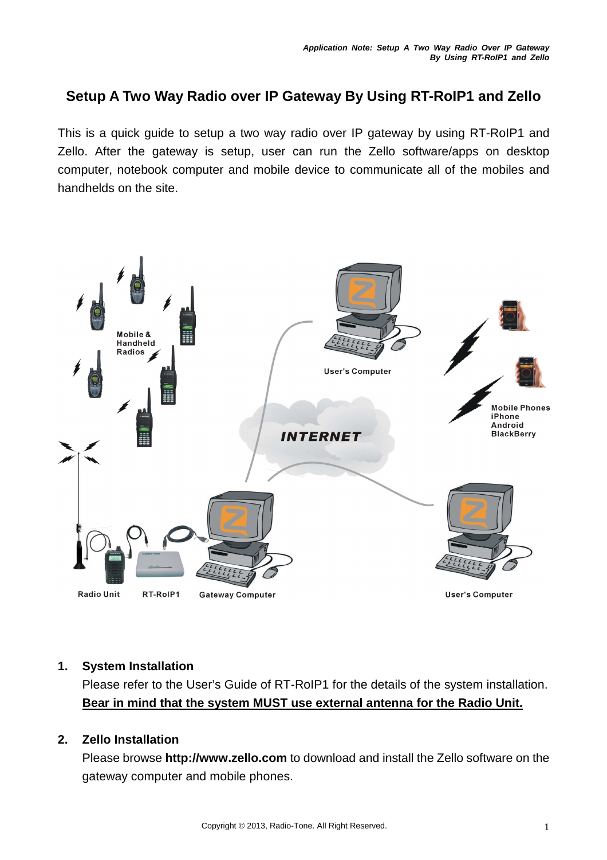# **Setup A Two Way Radio over IP Gateway By Using RT-RoIP1 and Zello**

This is a quick guide to setup a two way radio over IP gateway by using RT-RoIP1 and Zello. After the gateway is setup, user can run the Zello software/apps on desktop computer, notebook computer and mobile device to communicate all of the mobiles and handhelds on the site.



#### **1. System Installation**

Please refer to the User's Guide of RT-RoIP1 for the details of the system installation. **Bear in mind that the system MUST use external antenna for the Radio Unit.**

## **2. Zello Installation**

Please browse **http://www.zello.com** to download and install the Zello software on the gateway computer and mobile phones.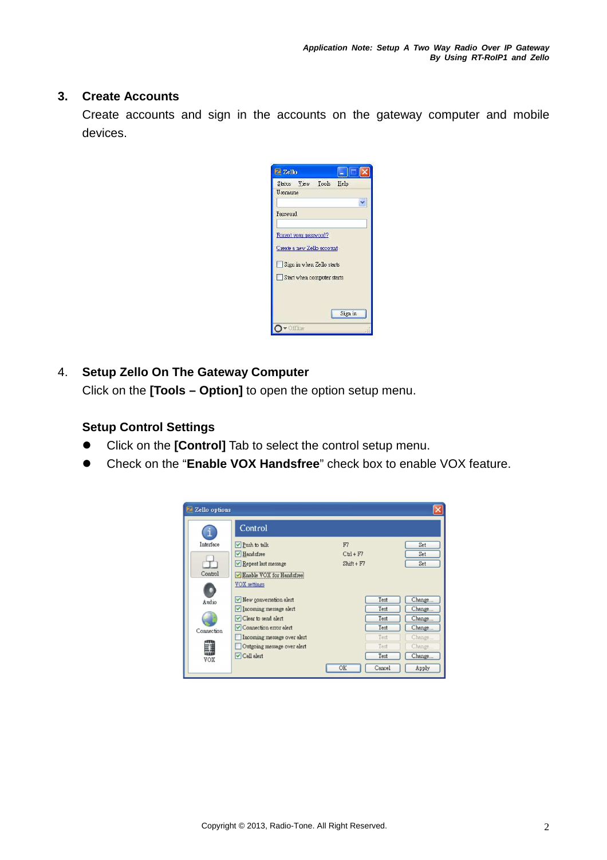#### **3. Create Accounts**

Create accounts and sign in the accounts on the gateway computer and mobile devices.

| Zello                      |         |
|----------------------------|---------|
| Status View Tools Help     |         |
| Username                   |         |
|                            |         |
| Password                   |         |
|                            |         |
| Forgot your password?      |         |
| Create a new Zello account |         |
| Sign in when Zello starts  |         |
|                            |         |
| Start when computer starts |         |
|                            |         |
|                            |         |
|                            | Sign in |

## 4. **Setup Zello On The Gateway Computer**

Click on the **[Tools – Option]** to open the option setup menu.

# **Setup Control Settings**

- Click on the **[Control]** Tab to select the control setup menu.
- Check on the "**Enable VOX Handsfree**" check box to enable VOX feature.

| Zello options |                               |                |        |
|---------------|-------------------------------|----------------|--------|
|               | Control                       |                |        |
| Interface     | Push to talk                  | F7             | Set    |
|               | Handsfree                     | $C$ trl + $F7$ | Set    |
|               | Repeat last message           | $Shift + F7$   | Set    |
| Control       | Enable VOX for Handsfree      |                |        |
|               | <b>VOX</b> settings           |                |        |
| Audio         | $\vee$ New conversation alert | Test           | Change |
|               | Incoming message alert        | Test           | Change |
|               | Clear to send alert           | Test           | Change |
| Connection    | Connection error alert        | Test           | Change |
|               | Incoming message over alert   | Test           | Change |
|               | Outgoing message over alert   | Test           | Change |
| VOX           | $\triangledown$ Call alert    | Test           | Change |
|               |                               | Cancel<br>OK   | Apply  |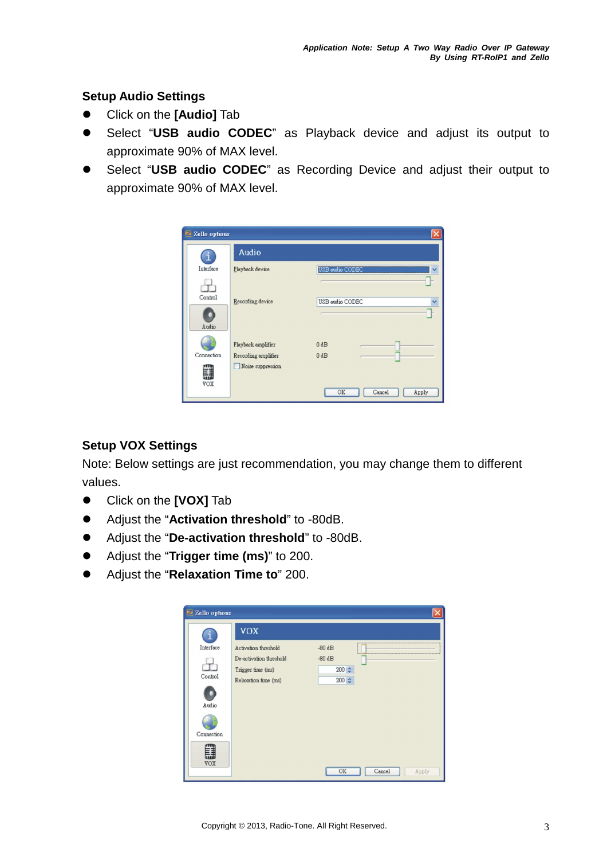## **Setup Audio Settings**

- Click on the **[Audio]** Tab
- Select "**USB audio CODEC**" as Playback device and adjust its output to approximate 90% of MAX level.
- Select "**USB audio CODEC**" as Recording Device and adjust their output to approximate 90% of MAX level.

| Zello options    |                     |                       |
|------------------|---------------------|-----------------------|
|                  | Audio               |                       |
| Interface        | Playback device     | USB audio CODEC       |
| Control<br>Audio | Recording device    | USB audio CODEC       |
|                  | Playback amplifier  | $0$ dB                |
| Connection       | Recording amplifier | $0$ dB                |
| 鼺<br>VOX         | Noise suppression   | Cancel<br>OK<br>Apply |

## **Setup VOX Settings**

Note: Below settings are just recommendation, you may change them to different values.

- Click on the **[VOX]** Tab
- Adjust the "**Activation threshold**" to -80dB.
- Adjust the "**De-activation threshold**" to -80dB.
- Adjust the "**Trigger time (ms)**" to 200.
- Adjust the "**Relaxation Time to**" 200.

| Zello options |                         |                       |
|---------------|-------------------------|-----------------------|
|               | <b>VOX</b>              |                       |
| Interface     | Activation threshold    | $-80dB$               |
|               | De-activation threshold | $-80dB$               |
|               | Trigger time (ms)       | $200 \div$            |
| Control       | Relaxation time (ms)    | $200 \div$            |
| ٠<br>Audio    |                         |                       |
|               |                         |                       |
| Connection    |                         |                       |
| VOX           |                         |                       |
|               |                         | Cancel<br>OK<br>Apply |